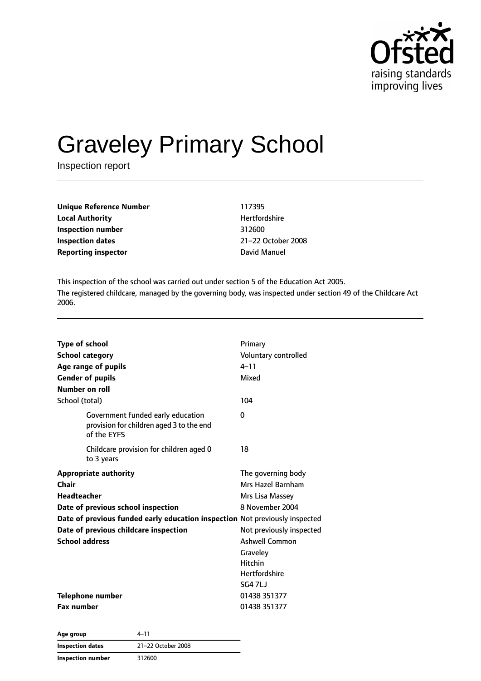

# Graveley Primary School

Inspection report

| <b>Unique Reference Number</b> | 117395    |
|--------------------------------|-----------|
| <b>Local Authority</b>         | Hertfor   |
| Inspection number              | 312600    |
| Inspection dates               | $21 - 22$ |
| <b>Reporting inspector</b>     | David N   |

**Hertfordshire Inspection dates** 21–22 October 2008 **David Manuel** 

This inspection of the school was carried out under section 5 of the Education Act 2005. The registered childcare, managed by the governing body, was inspected under section 49 of the Childcare Act 2006.

| <b>Type of school</b>                                                                        | Primary                  |  |
|----------------------------------------------------------------------------------------------|--------------------------|--|
| <b>School category</b>                                                                       | Voluntary controlled     |  |
| Age range of pupils                                                                          | $4 - 11$                 |  |
| <b>Gender of pupils</b>                                                                      | Mixed                    |  |
| Number on roll                                                                               |                          |  |
| School (total)                                                                               | 104                      |  |
| Government funded early education<br>provision for children aged 3 to the end<br>of the EYFS | $\Omega$                 |  |
| Childcare provision for children aged 0<br>to 3 years                                        | 18                       |  |
| <b>Appropriate authority</b>                                                                 | The governing body       |  |
| Chair                                                                                        | Mrs Hazel Barnham        |  |
| <b>Headteacher</b>                                                                           | Mrs Lisa Massey          |  |
| Date of previous school inspection                                                           | 8 November 2004          |  |
| Date of previous funded early education inspection Not previously inspected                  |                          |  |
| Date of previous childcare inspection                                                        | Not previously inspected |  |
| <b>School address</b>                                                                        | <b>Ashwell Common</b>    |  |
|                                                                                              | Graveley                 |  |
|                                                                                              | <b>Hitchin</b>           |  |
|                                                                                              | <b>Hertfordshire</b>     |  |
|                                                                                              | SG47LJ                   |  |
| Telephone number                                                                             | 01438 351377             |  |
| <b>Fax number</b>                                                                            | 01438 351377             |  |

**Age group** 4–11 **Inspection dates** 21–22 October 2008 **Inspection number** 312600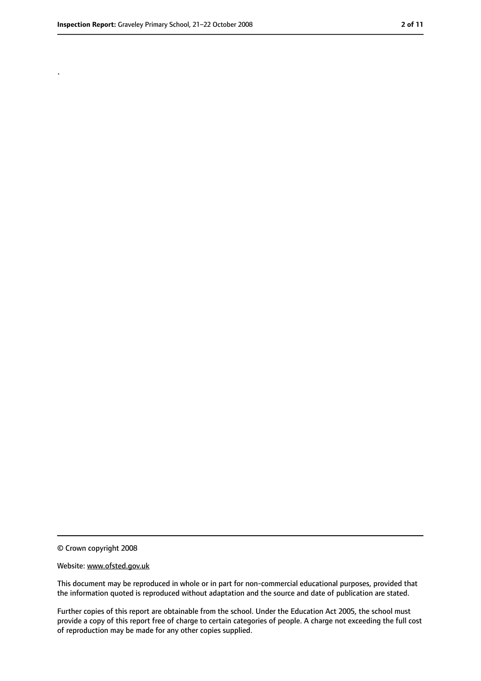.

<sup>©</sup> Crown copyright 2008

Website: www.ofsted.gov.uk

This document may be reproduced in whole or in part for non-commercial educational purposes, provided that the information quoted is reproduced without adaptation and the source and date of publication are stated.

Further copies of this report are obtainable from the school. Under the Education Act 2005, the school must provide a copy of this report free of charge to certain categories of people. A charge not exceeding the full cost of reproduction may be made for any other copies supplied.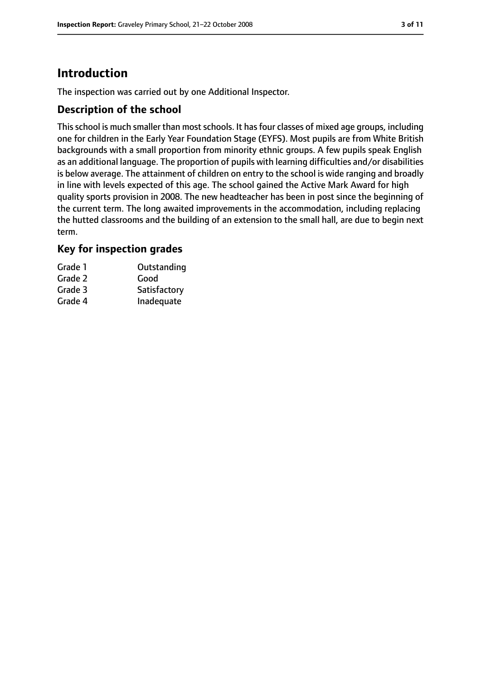### **Introduction**

The inspection was carried out by one Additional Inspector.

#### **Description of the school**

This school is much smaller than most schools. It has four classes of mixed age groups, including one for children in the Early Year Foundation Stage (EYFS). Most pupils are from White British backgrounds with a small proportion from minority ethnic groups. A few pupils speak English as an additional language. The proportion of pupils with learning difficulties and/or disabilities is below average. The attainment of children on entry to the school is wide ranging and broadly in line with levels expected of this age. The school gained the Active Mark Award for high quality sports provision in 2008. The new headteacher has been in post since the beginning of the current term. The long awaited improvements in the accommodation, including replacing the hutted classrooms and the building of an extension to the small hall, are due to begin next term.

### **Key for inspection grades**

| Grade 1 | Outstanding  |
|---------|--------------|
| Grade 2 | Good         |
| Grade 3 | Satisfactory |
| Grade 4 | Inadequate   |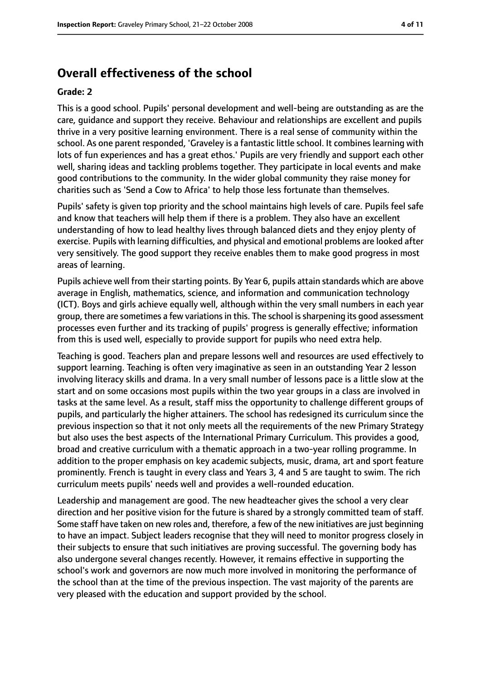### **Overall effectiveness of the school**

#### **Grade: 2**

This is a good school. Pupils' personal development and well-being are outstanding as are the care, guidance and support they receive. Behaviour and relationships are excellent and pupils thrive in a very positive learning environment. There is a real sense of community within the school. As one parent responded, 'Graveley is a fantastic little school. It combines learning with lots of fun experiences and has a great ethos.' Pupils are very friendly and support each other well, sharing ideas and tackling problems together. They participate in local events and make good contributions to the community. In the wider global community they raise money for charities such as 'Send a Cow to Africa' to help those less fortunate than themselves.

Pupils' safety is given top priority and the school maintains high levels of care. Pupils feel safe and know that teachers will help them if there is a problem. They also have an excellent understanding of how to lead healthy lives through balanced diets and they enjoy plenty of exercise. Pupils with learning difficulties, and physical and emotional problems are looked after very sensitively. The good support they receive enables them to make good progress in most areas of learning.

Pupils achieve well from their starting points. By Year 6, pupils attain standards which are above average in English, mathematics, science, and information and communication technology (ICT). Boys and girls achieve equally well, although within the very small numbers in each year group, there are sometimes a few variations in this. The school is sharpening its good assessment processes even further and its tracking of pupils' progress is generally effective; information from this is used well, especially to provide support for pupils who need extra help.

Teaching is good. Teachers plan and prepare lessons well and resources are used effectively to support learning. Teaching is often very imaginative as seen in an outstanding Year 2 lesson involving literacy skills and drama. In a very small number of lessons pace is a little slow at the start and on some occasions most pupils within the two year groups in a class are involved in tasks at the same level. As a result, staff miss the opportunity to challenge different groups of pupils, and particularly the higher attainers. The school has redesigned its curriculum since the previous inspection so that it not only meets all the requirements of the new Primary Strategy but also uses the best aspects of the International Primary Curriculum. This provides a good, broad and creative curriculum with a thematic approach in a two-year rolling programme. In addition to the proper emphasis on key academic subjects, music, drama, art and sport feature prominently. French is taught in every class and Years 3, 4 and 5 are taught to swim. The rich curriculum meets pupils' needs well and provides a well-rounded education.

Leadership and management are good. The new headteacher gives the school a very clear direction and her positive vision for the future is shared by a strongly committed team of staff. Some staff have taken on new roles and, therefore, a few of the new initiatives are just beginning to have an impact. Subject leaders recognise that they will need to monitor progress closely in their subjects to ensure that such initiatives are proving successful. The governing body has also undergone several changes recently. However, it remains effective in supporting the school's work and governors are now much more involved in monitoring the performance of the school than at the time of the previous inspection. The vast majority of the parents are very pleased with the education and support provided by the school.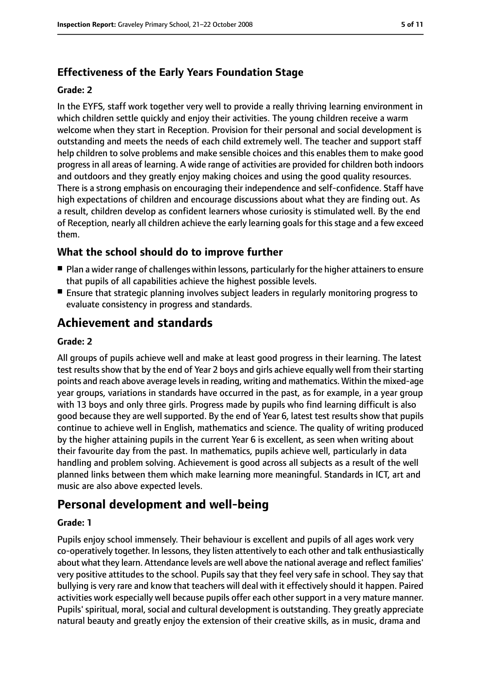### **Effectiveness of the Early Years Foundation Stage**

#### **Grade: 2**

In the EYFS, staff work together very well to provide a really thriving learning environment in which children settle quickly and enjoy their activities. The young children receive a warm welcome when they start in Reception. Provision for their personal and social development is outstanding and meets the needs of each child extremely well. The teacher and support staff help children to solve problems and make sensible choices and this enables them to make good progress in all areas of learning. A wide range of activities are provided for children both indoors and outdoors and they greatly enjoy making choices and using the good quality resources. There is a strong emphasis on encouraging their independence and self-confidence. Staff have high expectations of children and encourage discussions about what they are finding out. As a result, children develop as confident learners whose curiosity is stimulated well. By the end of Reception, nearly all children achieve the early learning goals for this stage and a few exceed them.

### **What the school should do to improve further**

- Plan a wider range of challenges within lessons, particularly for the higher attainers to ensure that pupils of all capabilities achieve the highest possible levels.
- Ensure that strategic planning involves subject leaders in regularly monitoring progress to evaluate consistency in progress and standards.

### **Achievement and standards**

#### **Grade: 2**

All groups of pupils achieve well and make at least good progress in their learning. The latest test results show that by the end of Year 2 boys and girls achieve equally well from their starting points and reach above average levelsin reading, writing and mathematics. Within the mixed-age year groups, variations in standards have occurred in the past, as for example, in a year group with 13 boys and only three girls. Progress made by pupils who find learning difficult is also good because they are well supported. By the end of Year 6, latest test results show that pupils continue to achieve well in English, mathematics and science. The quality of writing produced by the higher attaining pupils in the current Year 6 is excellent, as seen when writing about their favourite day from the past. In mathematics, pupils achieve well, particularly in data handling and problem solving. Achievement is good across all subjects as a result of the well planned links between them which make learning more meaningful. Standards in ICT, art and music are also above expected levels.

### **Personal development and well-being**

#### **Grade: 1**

Pupils enjoy school immensely. Their behaviour is excellent and pupils of all ages work very co-operatively together. In lessons, they listen attentively to each other and talk enthusiastically about what they learn. Attendance levels are well above the national average and reflect families' very positive attitudes to the school. Pupils say that they feel very safe in school. They say that bullying is very rare and know that teachers will deal with it effectively should it happen. Paired activities work especially well because pupils offer each other support in a very mature manner. Pupils' spiritual, moral, social and cultural development is outstanding. They greatly appreciate natural beauty and greatly enjoy the extension of their creative skills, as in music, drama and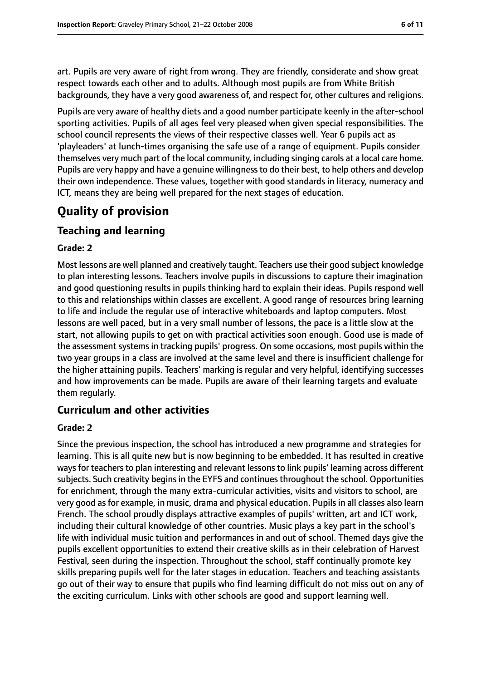art. Pupils are very aware of right from wrong. They are friendly, considerate and show great respect towards each other and to adults. Although most pupils are from White British backgrounds, they have a very good awareness of, and respect for, other cultures and religions.

Pupils are very aware of healthy diets and a good number participate keenly in the after-school sporting activities. Pupils of all ages feel very pleased when given special responsibilities. The school council represents the views of their respective classes well. Year 6 pupils act as 'playleaders' at lunch-times organising the safe use of a range of equipment. Pupils consider themselves very much part of the local community, including singing carols at a local care home. Pupils are very happy and have a genuine willingnessto do their best, to help others and develop their own independence. These values, together with good standards in literacy, numeracy and ICT, means they are being well prepared for the next stages of education.

### **Quality of provision**

### **Teaching and learning**

#### **Grade: 2**

Most lessons are well planned and creatively taught. Teachers use their good subject knowledge to plan interesting lessons. Teachers involve pupils in discussions to capture their imagination and good questioning results in pupils thinking hard to explain their ideas. Pupils respond well to this and relationships within classes are excellent. A good range of resources bring learning to life and include the regular use of interactive whiteboards and laptop computers. Most lessons are well paced, but in a very small number of lessons, the pace is a little slow at the start, not allowing pupils to get on with practical activities soon enough. Good use is made of the assessment systems in tracking pupils' progress. On some occasions, most pupils within the two year groups in a class are involved at the same level and there is insufficient challenge for the higher attaining pupils. Teachers' marking is regular and very helpful, identifying successes and how improvements can be made. Pupils are aware of their learning targets and evaluate them regularly.

### **Curriculum and other activities**

#### **Grade: 2**

Since the previous inspection, the school has introduced a new programme and strategies for learning. This is all quite new but is now beginning to be embedded. It has resulted in creative ways for teachers to plan interesting and relevant lessons to link pupils' learning across different subjects. Such creativity begins in the EYFS and continues throughout the school. Opportunities for enrichment, through the many extra-curricular activities, visits and visitors to school, are very good as for example, in music, drama and physical education. Pupils in all classes also learn French. The school proudly displays attractive examples of pupils' written, art and ICT work, including their cultural knowledge of other countries. Music plays a key part in the school's life with individual music tuition and performances in and out of school. Themed days give the pupils excellent opportunities to extend their creative skills as in their celebration of Harvest Festival, seen during the inspection. Throughout the school, staff continually promote key skills preparing pupils well for the later stages in education. Teachers and teaching assistants go out of their way to ensure that pupils who find learning difficult do not miss out on any of the exciting curriculum. Links with other schools are good and support learning well.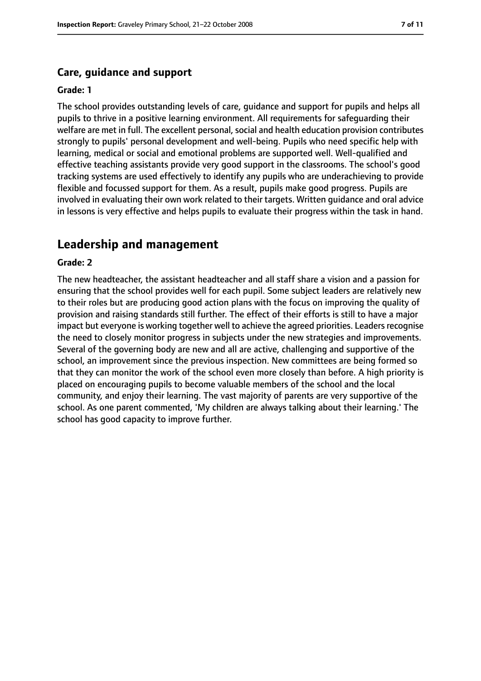#### **Care, guidance and support**

#### **Grade: 1**

The school provides outstanding levels of care, guidance and support for pupils and helps all pupils to thrive in a positive learning environment. All requirements for safeguarding their welfare are met in full. The excellent personal, social and health education provision contributes strongly to pupils' personal development and well-being. Pupils who need specific help with learning, medical or social and emotional problems are supported well. Well-qualified and effective teaching assistants provide very good support in the classrooms. The school's good tracking systems are used effectively to identify any pupils who are underachieving to provide flexible and focussed support for them. As a result, pupils make good progress. Pupils are involved in evaluating their own work related to their targets. Written guidance and oral advice in lessons is very effective and helps pupils to evaluate their progress within the task in hand.

### **Leadership and management**

#### **Grade: 2**

The new headteacher, the assistant headteacher and all staff share a vision and a passion for ensuring that the school provides well for each pupil. Some subject leaders are relatively new to their roles but are producing good action plans with the focus on improving the quality of provision and raising standards still further. The effect of their efforts is still to have a major impact but everyone is working together well to achieve the agreed priorities. Leaders recognise the need to closely monitor progress in subjects under the new strategies and improvements. Several of the governing body are new and all are active, challenging and supportive of the school, an improvement since the previous inspection. New committees are being formed so that they can monitor the work of the school even more closely than before. A high priority is placed on encouraging pupils to become valuable members of the school and the local community, and enjoy their learning. The vast majority of parents are very supportive of the school. As one parent commented, 'My children are always talking about their learning.' The school has good capacity to improve further.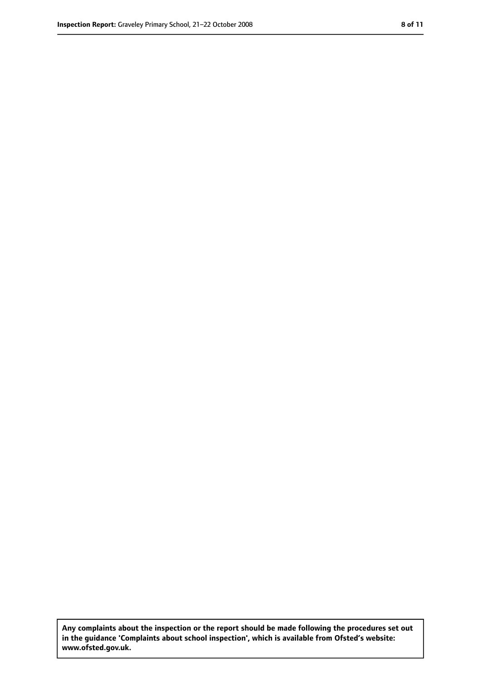**Any complaints about the inspection or the report should be made following the procedures set out in the guidance 'Complaints about school inspection', which is available from Ofsted's website: www.ofsted.gov.uk.**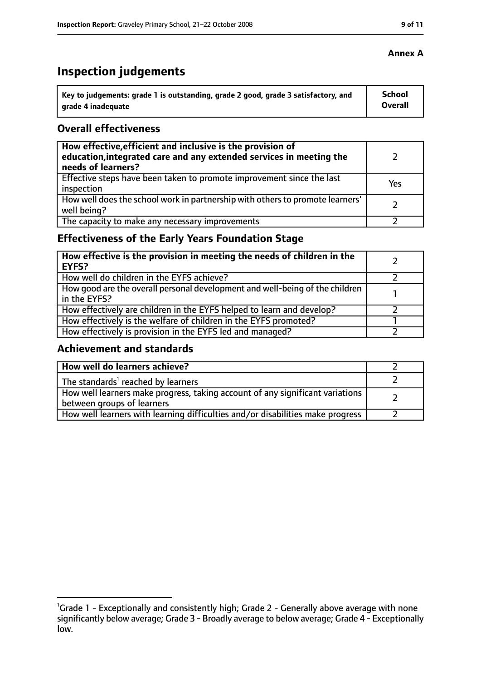| Key to judgements: grade 1 is outstanding, grade 2 good, grade 3 satisfactory, and | <b>School</b> |
|------------------------------------------------------------------------------------|---------------|
| l  arade 4 inadequate                                                              | Overall       |

### **Overall effectiveness**

| How effective, efficient and inclusive is the provision of<br>education, integrated care and any extended services in meeting the<br>needs of learners? |     |
|---------------------------------------------------------------------------------------------------------------------------------------------------------|-----|
| Effective steps have been taken to promote improvement since the last<br>inspection                                                                     | Yes |
| How well does the school work in partnership with others to promote learners'<br>well being?                                                            |     |
| The capacity to make any necessary improvements                                                                                                         |     |

### **Effectiveness of the Early Years Foundation Stage**

| How effective is the provision in meeting the needs of children in the<br><b>EYFS?</b>       |  |
|----------------------------------------------------------------------------------------------|--|
| How well do children in the EYFS achieve?                                                    |  |
| How good are the overall personal development and well-being of the children<br>in the EYFS? |  |
| How effectively are children in the EYFS helped to learn and develop?                        |  |
| How effectively is the welfare of children in the EYFS promoted?                             |  |
| How effectively is provision in the EYFS led and managed?                                    |  |

### **Achievement and standards**

| How well do learners achieve?                                                                               |  |
|-------------------------------------------------------------------------------------------------------------|--|
| The standards <sup>1</sup> reached by learners                                                              |  |
| How well learners make progress, taking account of any significant variations<br>between groups of learners |  |
| How well learners with learning difficulties and/or disabilities make progress                              |  |

### **Annex A**

<sup>&</sup>lt;sup>1</sup>Grade 1 - Exceptionally and consistently high; Grade 2 - Generally above average with none significantly below average; Grade 3 - Broadly average to below average; Grade 4 - Exceptionally low.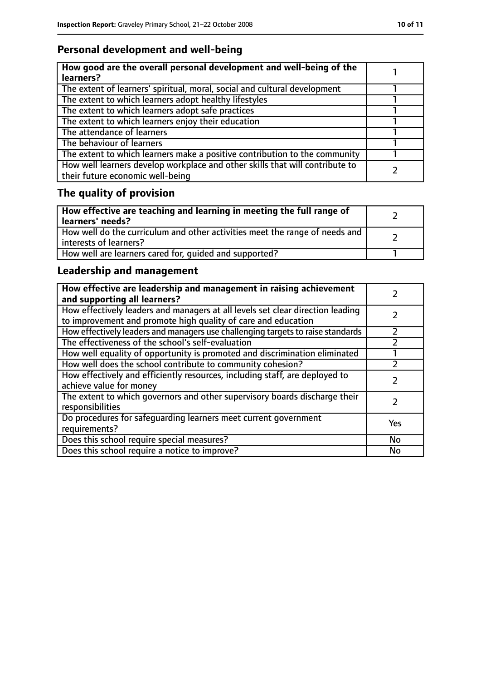### **Personal development and well-being**

| How good are the overall personal development and well-being of the<br>learners?                                 |  |
|------------------------------------------------------------------------------------------------------------------|--|
| The extent of learners' spiritual, moral, social and cultural development                                        |  |
| The extent to which learners adopt healthy lifestyles                                                            |  |
| The extent to which learners adopt safe practices                                                                |  |
| The extent to which learners enjoy their education                                                               |  |
| The attendance of learners                                                                                       |  |
| The behaviour of learners                                                                                        |  |
| The extent to which learners make a positive contribution to the community                                       |  |
| How well learners develop workplace and other skills that will contribute to<br>their future economic well-being |  |

## **The quality of provision**

| How effective are teaching and learning in meeting the full range of<br>learners' needs?              |  |
|-------------------------------------------------------------------------------------------------------|--|
| How well do the curriculum and other activities meet the range of needs and<br>interests of learners? |  |
| How well are learners cared for, quided and supported?                                                |  |

### **Leadership and management**

| How effective are leadership and management in raising achievement<br>and supporting all learners?                                              |     |
|-------------------------------------------------------------------------------------------------------------------------------------------------|-----|
| How effectively leaders and managers at all levels set clear direction leading<br>to improvement and promote high quality of care and education |     |
| How effectively leaders and managers use challenging targets to raise standards                                                                 |     |
| The effectiveness of the school's self-evaluation                                                                                               |     |
| How well equality of opportunity is promoted and discrimination eliminated                                                                      |     |
| How well does the school contribute to community cohesion?                                                                                      |     |
| How effectively and efficiently resources, including staff, are deployed to<br>achieve value for money                                          |     |
| The extent to which governors and other supervisory boards discharge their<br>responsibilities                                                  |     |
| Do procedures for safequarding learners meet current government<br>requirements?                                                                | Yes |
| Does this school require special measures?                                                                                                      | No  |
| Does this school require a notice to improve?                                                                                                   | No  |